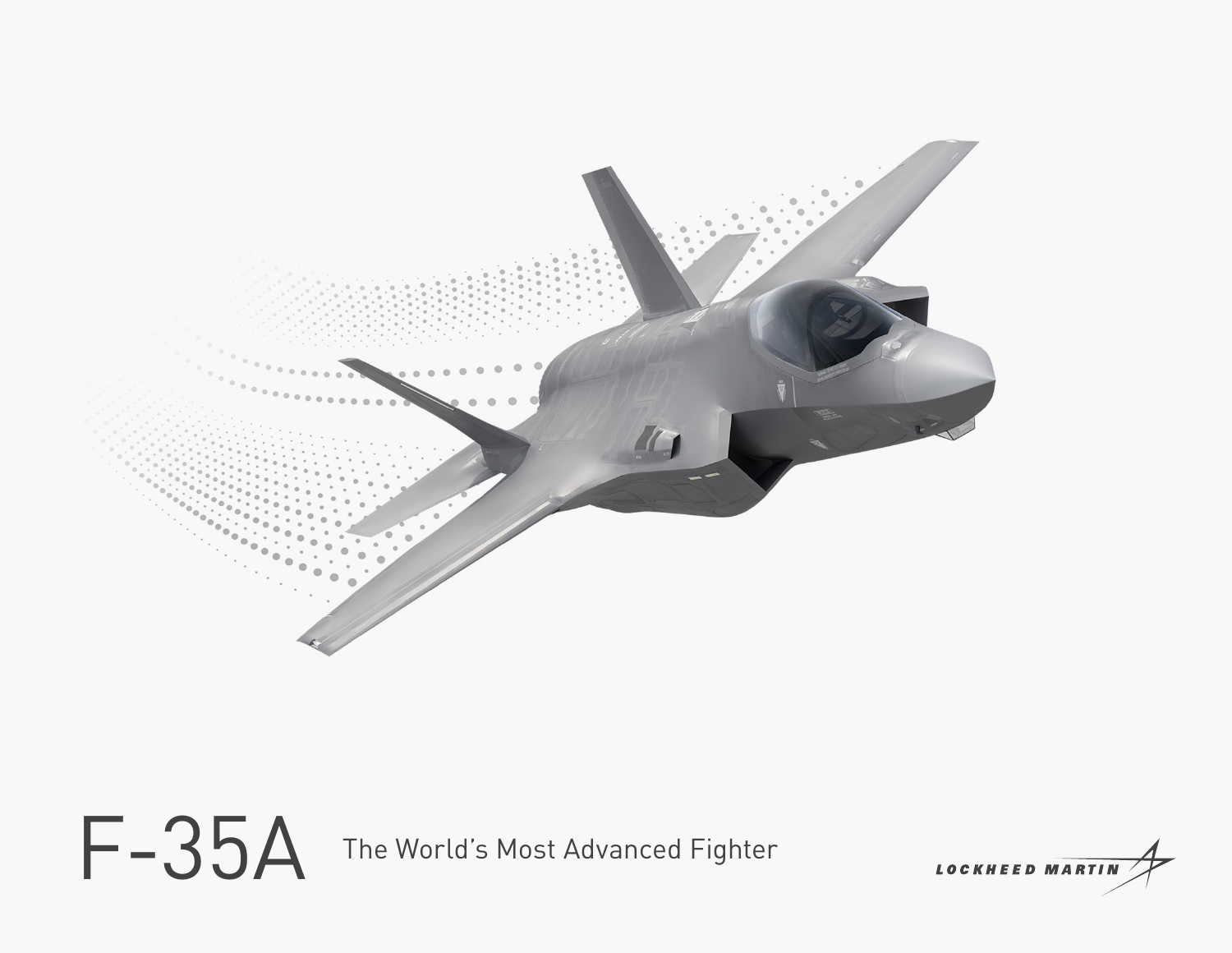

F-35A The World's Most Advanced Fighter